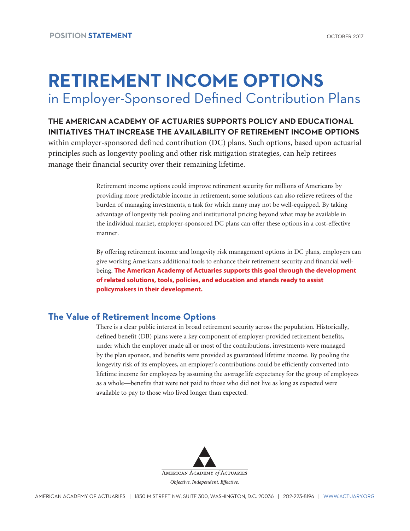# **RETIREMENT INCOME OPTIONS** in Employer-Sponsored Defined Contribution Plans

**THE AMERICAN ACADEMY OF ACTUARIES SUPPORTS POLICY AND EDUCATIONAL INITIATIVES THAT INCREASE THE AVAILABILITY OF RETIREMENT INCOME OPTIONS** within employer-sponsored defined contribution (DC) plans. Such options, based upon actuarial principles such as longevity pooling and other risk mitigation strategies, can help retirees manage their financial security over their remaining lifetime.

> Retirement income options could improve retirement security for millions of Americans by providing more predictable income in retirement; some solutions can also relieve retirees of the burden of managing investments, a task for which many may not be well-equipped. By taking advantage of longevity risk pooling and institutional pricing beyond what may be available in the individual market, employer-sponsored DC plans can offer these options in a cost-effective manner.

By offering retirement income and longevity risk management options in DC plans, employers can give working Americans additional tools to enhance their retirement security and financial wellbeing. **The American Academy of Actuaries supports this goal through the development of related solutions, tools, policies, and education and stands ready to assist policymakers in their development.** 

## **The Value of Retirement Income Options**

There is a clear public interest in broad retirement security across the population. Historically, defined benefit (DB) plans were a key component of employer-provided retirement benefits, under which the employer made all or most of the contributions, investments were managed by the plan sponsor, and benefits were provided as guaranteed lifetime income. By pooling the longevity risk of its employees, an employer's contributions could be efficiently converted into lifetime income for employees by assuming the *average* life expectancy for the group of employees as a whole—benefits that were not paid to those who did not live as long as expected were available to pay to those who lived longer than expected.

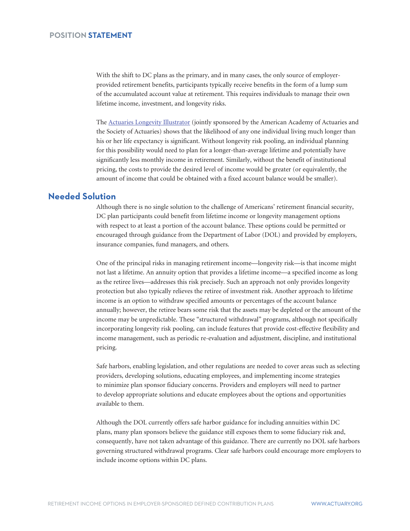With the shift to DC plans as the primary, and in many cases, the only source of employerprovided retirement benefits, participants typically receive benefits in the form of a lump sum of the accumulated account value at retirement. This requires individuals to manage their own lifetime income, investment, and longevity risks.

The [Actuaries Longevity Illustrator](http://www.longevityillustrator.org) (jointly sponsored by the American Academy of Actuaries and the Society of Actuaries) shows that the likelihood of any one individual living much longer than his or her life expectancy is significant. Without longevity risk pooling, an individual planning for this possibility would need to plan for a longer-than-average lifetime and potentially have significantly less monthly income in retirement. Similarly, without the benefit of institutional pricing, the costs to provide the desired level of income would be greater (or equivalently, the amount of income that could be obtained with a fixed account balance would be smaller).

## **Needed Solution**

Although there is no single solution to the challenge of Americans' retirement financial security, DC plan participants could benefit from lifetime income or longevity management options with respect to at least a portion of the account balance. These options could be permitted or encouraged through guidance from the Department of Labor (DOL) and provided by employers, insurance companies, fund managers, and others.

One of the principal risks in managing retirement income—longevity risk—is that income might not last a lifetime. An annuity option that provides a lifetime income—a specified income as long as the retiree lives—addresses this risk precisely. Such an approach not only provides longevity protection but also typically relieves the retiree of investment risk. Another approach to lifetime income is an option to withdraw specified amounts or percentages of the account balance annually; however, the retiree bears some risk that the assets may be depleted or the amount of the income may be unpredictable. These "structured withdrawal" programs, although not specifically incorporating longevity risk pooling, can include features that provide cost-effective flexibility and income management, such as periodic re-evaluation and adjustment, discipline, and institutional pricing.

Safe harbors, enabling legislation, and other regulations are needed to cover areas such as selecting providers, developing solutions, educating employees, and implementing income strategies to minimize plan sponsor fiduciary concerns. Providers and employers will need to partner to develop appropriate solutions and educate employees about the options and opportunities available to them.

Although the DOL currently offers safe harbor guidance for including annuities within DC plans, many plan sponsors believe the guidance still exposes them to some fiduciary risk and, consequently, have not taken advantage of this guidance. There are currently no DOL safe harbors governing structured withdrawal programs. Clear safe harbors could encourage more employers to include income options within DC plans.